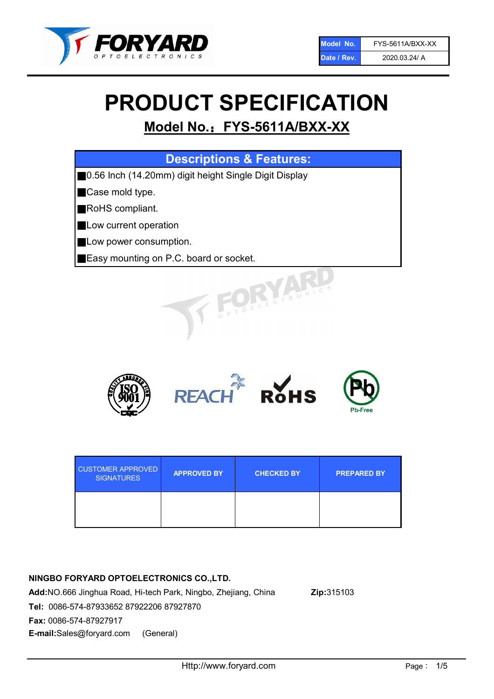

# PRODUCT SPECIFICATION

# Model No.: FYS-5611A/BXX-XX

| <b>Descriptions &amp; Features:</b>                        |
|------------------------------------------------------------|
| 0.56 Inch (14.20mm) digit height Single Digit Display<br>Ш |
| Case mold type.                                            |
| RoHS compliant.                                            |
| Low current operation                                      |
| Low power consumption.                                     |
| <b>Easy mounting on P.C. board or socket.</b>              |
| TOELECTRONIC                                               |



| <b>CUSTOMER APPROVED</b><br><b>SIGNATURES</b> | <b>APPROVED BY</b> | <b>CHECKED BY</b> | <b>PREPARED BY</b> |
|-----------------------------------------------|--------------------|-------------------|--------------------|
|                                               |                    |                   |                    |

# NINGBO FORYARD OPTOELECTRONICS CO.,LTD.

Add:NO.666 Jinghua Road, Hi-tech Park, Ningbo, Zhejiang, China Zip:315103 Tel: 0086-574-87933652 87922206 87927870 Fax: 0086-574-87927917 E-mail:Sales@foryard.com (General)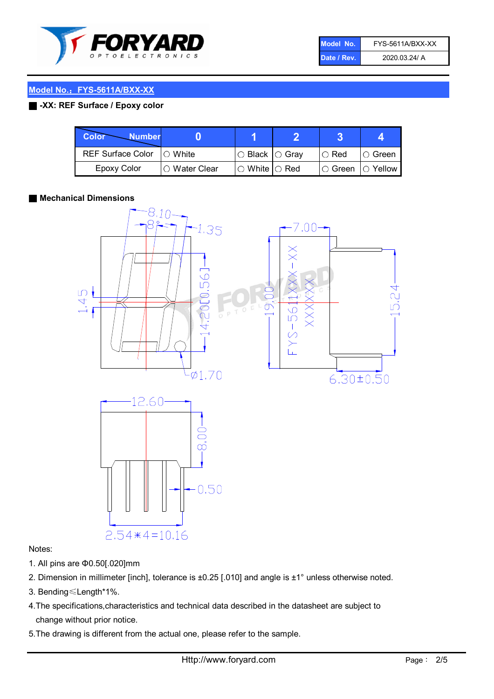

| Model No.   | FYS-5611A/BXX-XX |
|-------------|------------------|
| Date / Rev. | 2020.03.24/ A    |

# Model No.: FYS-5611A/BXX-XX

## ■ -XX: REF Surface / Epoxy color

| Color<br><b>Number</b>     |                 |                           |             |                |
|----------------------------|-----------------|---------------------------|-------------|----------------|
| REF Surface Color  ○ White |                 | ○ Black  ○ Gray           | $\circ$ Red | IO Green       |
| Epoxy Color                | l ⊜ Water Clear | $\circ$ White $\circ$ Red | I⊖ Green    | $\circ$ Yellow |

#### ■ Mechanical Dimensions



### Notes:

- 1. All pins are Φ0.50[.020]mm
- 2. Dimension in millimeter [inch], tolerance is ±0.25 [.010] and angle is ±1° unless otherwise noted.
- 3. Bending≤Length\*1%.
- 4.The specifications,characteristics and technical data described in the datasheet are subject to change without prior notice.
- 5.The drawing is different from the actual one, please refer to the sample.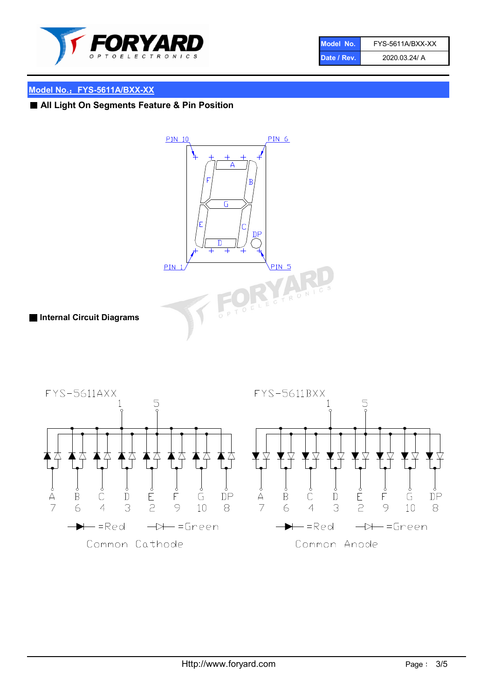

| Model No.   | FYS-5611A/BXX-XX |
|-------------|------------------|
| Date / Rev. | 2020.03.24/ A    |

# Model No.: FYS-5611A/BXX-XX

■ All Light On Segments Feature & Pin Position



■ Internal Circuit Diagrams

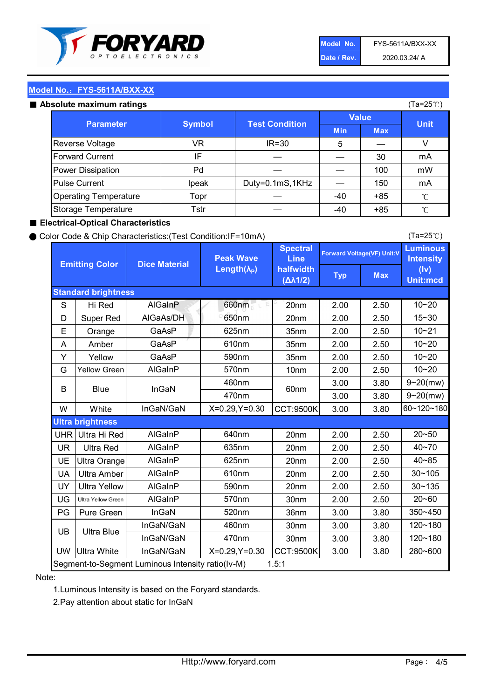

| Model No.   | FYS-5611A/BXX-XX |
|-------------|------------------|
| Date / Rev. | 2020.03.24/ A    |

(Ta=25℃)

# Model No.: FYS-5611A/BXX-XX

|  | Absolute maximum ratings |  |
|--|--------------------------|--|
|  |                          |  |

| <b>psolute maximum ratings</b> |                                        |                 |            |              | (Ta=25℃)     |
|--------------------------------|----------------------------------------|-----------------|------------|--------------|--------------|
|                                | <b>Test Condition</b><br><b>Symbol</b> |                 |            | <b>Value</b> |              |
| <b>Parameter</b>               |                                        |                 | <b>Min</b> | <b>Max</b>   | <b>Unit</b>  |
| Reverse Voltage                | VR                                     | $IR = 30$       | 5          |              | V            |
| <b>Forward Current</b>         | IF                                     |                 |            | 30           | mA           |
| Power Dissipation              | Pd                                     |                 |            | 100          | mW           |
| <b>Pulse Current</b>           | Ipeak                                  | Duty=0.1mS,1KHz |            | 150          | mA           |
| <b>Operating Temperature</b>   | Topr                                   |                 | $-40$      | $+85$        | $^{\circ}$ C |
| Storage Temperature            | Tstr                                   |                 | -40        | $+85$        | $^{\circ}$ C |

### ■ Electrical-Optical Characteristics

#### ● Color Code & Chip Characteristics:(Test Condition:IF=10mA)

Typ Max S | Hi $\textsf{Red}$  | AlGaInP | 660nm LE 20nm | 2.00 | 2.50 D | Super Red | AIGaAs/DH | 650nm | 20nm | 2.00 | 2.50 E | Orange | GaAsP | 625nm | 35nm | 2.00 | 2.50 A | Amber | GaAsP | 610nm | 35nm | 2.00 | 2.50 Y | Yellow | GaAsP | 590nm | 35nm | 2.00 | 2.50 G Yellow Green AIGaInP | 570nm | 10nm | 2.00 | 2.50 3.00 3.80 3.00 3.80 W | White | InGaN/GaN | X=0.29,Y=0.30 |CCT:9500K| 3.00 | 3.80 UHR Ultra Hi Red | AlGaInP | 640nm | 20nm | 2.00 | 2.50 UR | Ultra Red | AlGaInP | 635nm | 20nm | 2.00 | 2.50 UE Ultra Orange | AIGaInP | 625nm | 20nm | 2.00 | 2.50 UA Ultra Amber | AIGaInP | 610nm | 20nm | 2.00 | 2.50  $UV$  Ultra Yellow  $\vert$  AlGaInP  $\vert$  590nm  $\vert$  20nm  $\vert$  2.00  $\vert$  2.50  $\text{UG}$  Ultra Yellow Green | AIGaInP | 570nm | 30nm | 2.00 | 2.50 PG Pure Green | InGaN | 520nm | 36nm | 3.00 | 3.80 30nm 3.00 3.80 30nm 3.00 3.80 UW |Ultra White | InGaN/GaN | X=0.29,Y=0.30 |CCT:9500K| 3.00 | 3.80 10~20 Standard brightness Forward Voltage(VF) Unit:V 15~30 10~20 10~20 625nm GaAsP 590nm **Emitting Color Dice Material** 10~21 610nm Luminous **Intensity** (Iv) Unit:mcd AlGainP 660nm GaAsP GaAsP AlGaAs/DH **Spectral** Line halfwidth (∆λ1/2) Peak Wave Length $(\lambda_{\rm P})$ UB 460nm 635nm AlGaInP AlGaInP AlGaInP InGaN/GaN AlGaInP | 570nm | 10nm | 2.00 | 2.50 | 10~20 30~105 30~135 460nm 520nm Ultra brightness **AlGaInP** AlGaInP 60nm AlGaInP 640nm Segment-to-Segment Luminous Intensity ratio(Iv-M) 1.5:1 610nm 9~20(mw) 350~450 470nm 120~180 120~180 Ultra Blue InGaN/GaN InGaN/GaN 9~20(mw) 20~50 280~600 570nm | 30nm | 2.00 | 2.50 | 20~60 470nm 590nm InGaN/GaN B Blue I InGaN 40~85 60~120~180 40~70

### Note:

1.Luminous Intensity is based on the Foryard standards.

2.Pay attention about static for InGaN